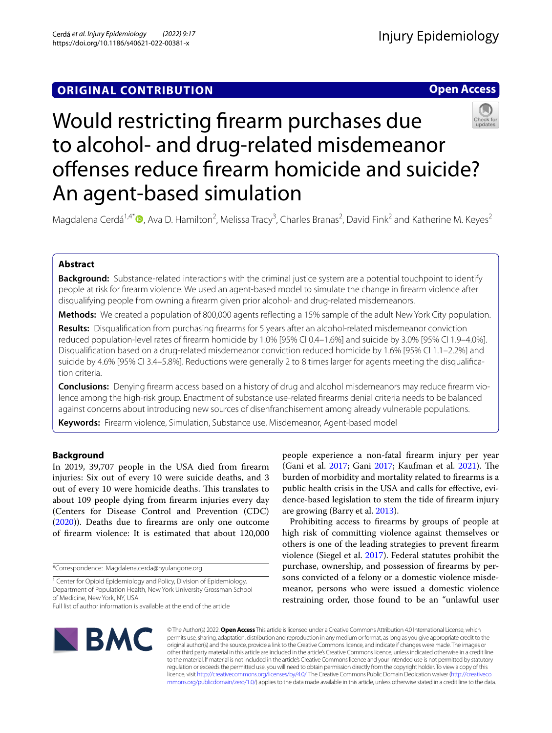## **ORIGINAL CONTRIBUTION**

**Open Access**



# Would restricting frearm purchases due to alcohol- and drug-related misdemeanor offenses reduce firearm homicide and suicide? An agent-based simulation

Magdalena Cerdá<sup>1,4[\\*](http://orcid.org/0000-0001-8441-7046)</sup> <sup>(D</sup>, Ava D. Hamilton<sup>2</sup>, Melissa Tracy<sup>3</sup>, Charles Branas<sup>2</sup>, David Fink<sup>2</sup> and Katherine M. Keyes<sup>2</sup>

## **Abstract**

**Background:** Substance-related interactions with the criminal justice system are a potential touchpoint to identify people at risk for frearm violence. We used an agent-based model to simulate the change in frearm violence after disqualifying people from owning a frearm given prior alcohol- and drug-related misdemeanors.

**Methods:** We created a population of 800,000 agents refecting a 15% sample of the adult New York City population.

**Results:** Disqualifcation from purchasing frearms for 5 years after an alcohol-related misdemeanor conviction reduced population-level rates of frearm homicide by 1.0% [95% CI 0.4–1.6%] and suicide by 3.0% [95% CI 1.9–4.0%]. Disqualifcation based on a drug-related misdemeanor conviction reduced homicide by 1.6% [95% CI 1.1–2.2%] and suicide by 4.6% [95% CI 3.4–5.8%]. Reductions were generally 2 to 8 times larger for agents meeting the disqualifcation criteria.

**Conclusions:** Denying frearm access based on a history of drug and alcohol misdemeanors may reduce frearm violence among the high-risk group. Enactment of substance use-related frearms denial criteria needs to be balanced against concerns about introducing new sources of disenfranchisement among already vulnerable populations.

**Keywords:** Firearm violence, Simulation, Substance use, Misdemeanor, Agent-based model

## **Background**

In 2019, 39,707 people in the USA died from frearm injuries: Six out of every 10 were suicide deaths, and 3 out of every 10 were homicide deaths. This translates to about 109 people dying from frearm injuries every day (Centers for Disease Control and Prevention (CDC) ([2020](#page-10-0))). Deaths due to frearms are only one outcome of frearm violence: It is estimated that about 120,000

\*Correspondence: Magdalena.cerda@nyulangone.org

people experience a non-fatal frearm injury per year (Gani et al. [2017](#page-10-1); Gani [2017;](#page-10-2) Kaufman et al. [2021](#page-11-0)). The burden of morbidity and mortality related to frearms is a public health crisis in the USA and calls for efective, evidence-based legislation to stem the tide of frearm injury are growing (Barry et al. [2013](#page-10-3)).

Prohibiting access to frearms by groups of people at high risk of committing violence against themselves or others is one of the leading strategies to prevent frearm violence (Siegel et al. [2017\)](#page-11-1). Federal statutes prohibit the purchase, ownership, and possession of frearms by persons convicted of a felony or a domestic violence misdemeanor, persons who were issued a domestic violence restraining order, those found to be an "unlawful user



© The Author(s) 2022. **Open Access** This article is licensed under a Creative Commons Attribution 4.0 International License, which permits use, sharing, adaptation, distribution and reproduction in any medium or format, as long as you give appropriate credit to the original author(s) and the source, provide a link to the Creative Commons licence, and indicate if changes were made. The images or other third party material in this article are included in the article's Creative Commons licence, unless indicated otherwise in a credit line to the material. If material is not included in the article's Creative Commons licence and your intended use is not permitted by statutory regulation or exceeds the permitted use, you will need to obtain permission directly from the copyright holder. To view a copy of this licence, visit [http://creativecommons.org/licenses/by/4.0/.](http://creativecommons.org/licenses/by/4.0/) The Creative Commons Public Domain Dedication waiver ([http://creativeco](http://creativecommons.org/publicdomain/zero/1.0/) [mmons.org/publicdomain/zero/1.0/](http://creativecommons.org/publicdomain/zero/1.0/)) applies to the data made available in this article, unless otherwise stated in a credit line to the data.

<sup>&</sup>lt;sup>1</sup> Center for Opioid Epidemiology and Policy, Division of Epidemiology, Department of Population Health, New York University Grossman School of Medicine, New York, NY, USA

Full list of author information is available at the end of the article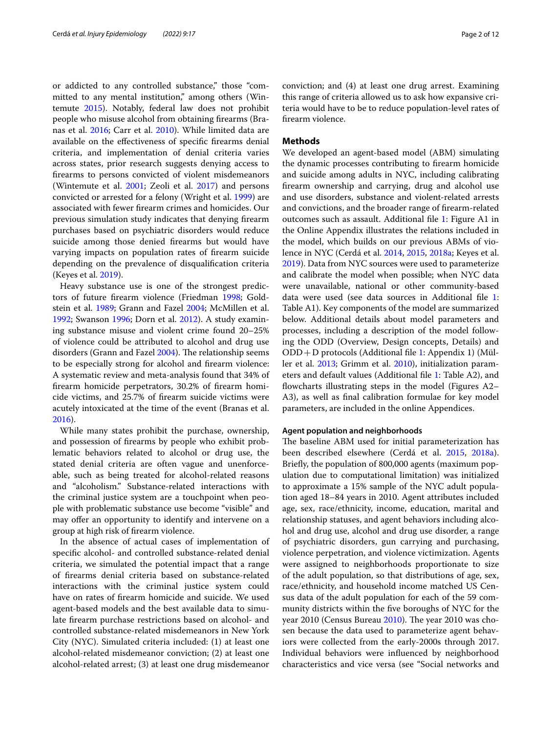or addicted to any controlled substance," those "committed to any mental institution," among others (Wintemute [2015\)](#page-11-2). Notably, federal law does not prohibit people who misuse alcohol from obtaining frearms (Branas et al. [2016](#page-10-4); Carr et al. [2010\)](#page-10-5). While limited data are available on the efectiveness of specifc frearms denial criteria, and implementation of denial criteria varies across states, prior research suggests denying access to frearms to persons convicted of violent misdemeanors (Wintemute et al. [2001](#page-11-3); Zeoli et al. [2017](#page-11-4)) and persons convicted or arrested for a felony (Wright et al. [1999](#page-11-5)) are associated with fewer frearm crimes and homicides. Our previous simulation study indicates that denying frearm purchases based on psychiatric disorders would reduce suicide among those denied frearms but would have varying impacts on population rates of frearm suicide depending on the prevalence of disqualifcation criteria (Keyes et al. [2019](#page-11-6)).

Heavy substance use is one of the strongest predictors of future frearm violence (Friedman [1998;](#page-10-6) Goldstein et al. [1989](#page-10-7); Grann and Fazel [2004;](#page-10-8) McMillen et al. [1992](#page-11-7); Swanson [1996;](#page-11-8) Dorn et al. [2012](#page-11-9)). A study examining substance misuse and violent crime found 20–25% of violence could be attributed to alcohol and drug use disorders (Grann and Fazel [2004](#page-10-8)). The relationship seems to be especially strong for alcohol and frearm violence: A systematic review and meta-analysis found that 34% of frearm homicide perpetrators, 30.2% of frearm homicide victims, and 25.7% of frearm suicide victims were acutely intoxicated at the time of the event (Branas et al. [2016](#page-10-4)).

While many states prohibit the purchase, ownership, and possession of frearms by people who exhibit problematic behaviors related to alcohol or drug use, the stated denial criteria are often vague and unenforceable, such as being treated for alcohol-related reasons and "alcoholism." Substance-related interactions with the criminal justice system are a touchpoint when people with problematic substance use become "visible" and may offer an opportunity to identify and intervene on a group at high risk of frearm violence.

In the absence of actual cases of implementation of specifc alcohol- and controlled substance-related denial criteria, we simulated the potential impact that a range of frearms denial criteria based on substance-related interactions with the criminal justice system could have on rates of frearm homicide and suicide. We used agent-based models and the best available data to simulate frearm purchase restrictions based on alcohol- and controlled substance-related misdemeanors in New York City (NYC). Simulated criteria included: (1) at least one alcohol-related misdemeanor conviction; (2) at least one alcohol-related arrest; (3) at least one drug misdemeanor conviction; and (4) at least one drug arrest. Examining this range of criteria allowed us to ask how expansive criteria would have to be to reduce population-level rates of frearm violence.

## **Methods**

We developed an agent-based model (ABM) simulating the dynamic processes contributing to frearm homicide and suicide among adults in NYC, including calibrating frearm ownership and carrying, drug and alcohol use and use disorders, substance and violent-related arrests and convictions, and the broader range of frearm-related outcomes such as assault. Additional fle [1](#page-9-0): Figure A1 in the Online Appendix illustrates the relations included in the model, which builds on our previous ABMs of violence in NYC (Cerdá et al. [2014](#page-10-9), [2015,](#page-10-10) [2018a;](#page-10-11) Keyes et al. [2019](#page-11-10)). Data from NYC sources were used to parameterize and calibrate the model when possible; when NYC data were unavailable, national or other community-based data were used (see data sources in Additional fle [1](#page-9-0): Table A1). Key components of the model are summarized below. Additional details about model parameters and processes, including a description of the model following the ODD (Overview, Design concepts, Details) and ODD+D protocols (Additional fle [1:](#page-9-0) Appendix 1) (Müller et al. [2013](#page-11-11); Grimm et al. [2010\)](#page-11-12), initialization parameters and default values (Additional fle [1:](#page-9-0) Table A2), and fowcharts illustrating steps in the model (Figures A2– A3), as well as fnal calibration formulae for key model parameters, are included in the online Appendices.

#### **Agent population and neighborhoods**

The baseline ABM used for initial parameterization has been described elsewhere (Cerdá et al. [2015](#page-10-10), [2018a](#page-10-11)). Briefy, the population of 800,000 agents (maximum population due to computational limitation) was initialized to approximate a 15% sample of the NYC adult population aged 18–84 years in 2010. Agent attributes included age, sex, race/ethnicity, income, education, marital and relationship statuses, and agent behaviors including alcohol and drug use, alcohol and drug use disorder, a range of psychiatric disorders, gun carrying and purchasing, violence perpetration, and violence victimization. Agents were assigned to neighborhoods proportionate to size of the adult population, so that distributions of age, sex, race/ethnicity, and household income matched US Census data of the adult population for each of the 59 community districts within the fve boroughs of NYC for the year 2010 (Census Bureau  $2010$ ). The year 2010 was chosen because the data used to parameterize agent behaviors were collected from the early-2000s through 2017. Individual behaviors were infuenced by neighborhood characteristics and vice versa (see "Social networks and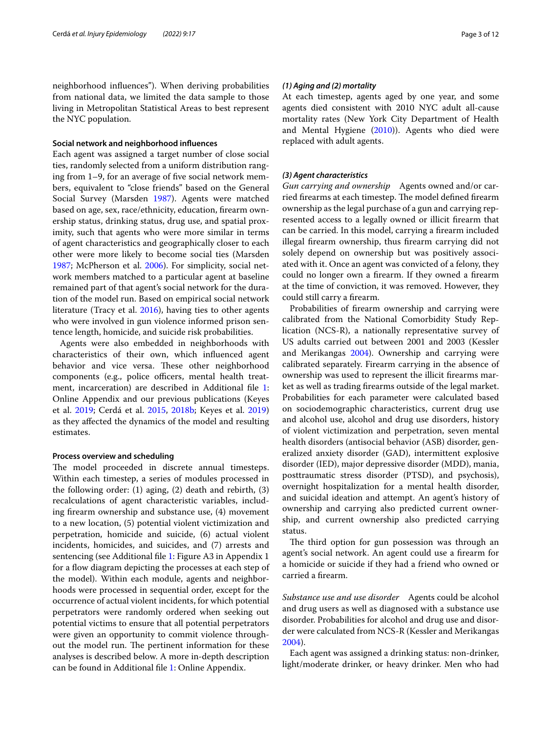neighborhood infuences"). When deriving probabilities from national data, we limited the data sample to those living in Metropolitan Statistical Areas to best represent the NYC population.

#### **Social network and neighborhood infuences**

Each agent was assigned a target number of close social ties, randomly selected from a uniform distribution ranging from 1–9, for an average of fve social network members, equivalent to "close friends" based on the General Social Survey (Marsden [1987](#page-11-13)). Agents were matched based on age, sex, race/ethnicity, education, frearm ownership status, drinking status, drug use, and spatial proximity, such that agents who were more similar in terms of agent characteristics and geographically closer to each other were more likely to become social ties (Marsden [1987](#page-11-13); McPherson et al. [2006](#page-11-14)). For simplicity, social network members matched to a particular agent at baseline remained part of that agent's social network for the duration of the model run. Based on empirical social network literature (Tracy et al. [2016\)](#page-11-15), having ties to other agents who were involved in gun violence informed prison sentence length, homicide, and suicide risk probabilities.

Agents were also embedded in neighborhoods with characteristics of their own, which infuenced agent behavior and vice versa. These other neighborhood components (e.g., police officers, mental health treatment, incarceration) are described in Additional fle [1](#page-9-0): Online Appendix and our previous publications (Keyes et al. [2019;](#page-11-6) Cerdá et al. [2015](#page-10-10), [2018b;](#page-10-13) Keyes et al. [2019](#page-11-10)) as they afected the dynamics of the model and resulting estimates.

#### **Process overview and scheduling**

The model proceeded in discrete annual timesteps. Within each timestep, a series of modules processed in the following order: (1) aging, (2) death and rebirth, (3) recalculations of agent characteristic variables, including frearm ownership and substance use, (4) movement to a new location, (5) potential violent victimization and perpetration, homicide and suicide, (6) actual violent incidents, homicides, and suicides, and (7) arrests and sentencing (see Additional fle [1](#page-9-0): Figure A3 in Appendix 1 for a flow diagram depicting the processes at each step of the model). Within each module, agents and neighborhoods were processed in sequential order, except for the occurrence of actual violent incidents, for which potential perpetrators were randomly ordered when seeking out potential victims to ensure that all potential perpetrators were given an opportunity to commit violence throughout the model run. The pertinent information for these analyses is described below. A more in-depth description can be found in Additional fle [1:](#page-9-0) Online Appendix.

#### *(1) Aging and (2) mortality*

At each timestep, agents aged by one year, and some agents died consistent with 2010 NYC adult all-cause mortality rates (New York City Department of Health and Mental Hygiene ([2010](#page-11-16))). Agents who died were replaced with adult agents.

#### *(3) Agent characteristics*

*Gun carrying and ownership* Agents owned and/or carried firearms at each timestep. The model defined firearm ownership as the legal purchase of a gun and carrying represented access to a legally owned or illicit frearm that can be carried. In this model, carrying a frearm included illegal frearm ownership, thus frearm carrying did not solely depend on ownership but was positively associated with it. Once an agent was convicted of a felony, they could no longer own a frearm. If they owned a frearm at the time of conviction, it was removed. However, they could still carry a frearm.

Probabilities of frearm ownership and carrying were calibrated from the National Comorbidity Study Replication (NCS-R), a nationally representative survey of US adults carried out between 2001 and 2003 (Kessler and Merikangas [2004\)](#page-11-17). Ownership and carrying were calibrated separately. Firearm carrying in the absence of ownership was used to represent the illicit frearms market as well as trading frearms outside of the legal market. Probabilities for each parameter were calculated based on sociodemographic characteristics, current drug use and alcohol use, alcohol and drug use disorders, history of violent victimization and perpetration, seven mental health disorders (antisocial behavior (ASB) disorder, generalized anxiety disorder (GAD), intermittent explosive disorder (IED), major depressive disorder (MDD), mania, posttraumatic stress disorder (PTSD), and psychosis), overnight hospitalization for a mental health disorder, and suicidal ideation and attempt. An agent's history of ownership and carrying also predicted current ownership, and current ownership also predicted carrying status.

The third option for gun possession was through an agent's social network. An agent could use a frearm for a homicide or suicide if they had a friend who owned or carried a frearm.

*Substance use and use disorder* Agents could be alcohol and drug users as well as diagnosed with a substance use disorder. Probabilities for alcohol and drug use and disorder were calculated from NCS-R (Kessler and Merikangas [2004](#page-11-17)).

Each agent was assigned a drinking status: non-drinker, light/moderate drinker, or heavy drinker. Men who had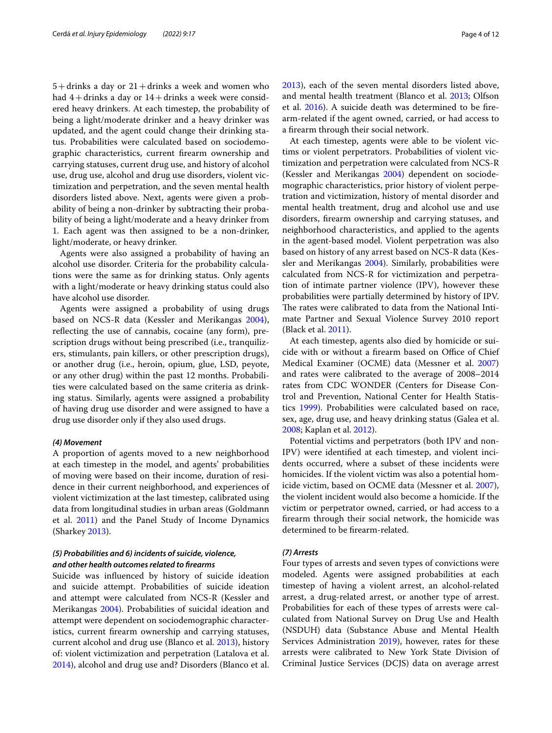$5+$ drinks a day or  $21+$ drinks a week and women who had  $4+$ drinks a day or  $14+$ drinks a week were considered heavy drinkers. At each timestep, the probability of being a light/moderate drinker and a heavy drinker was updated, and the agent could change their drinking status. Probabilities were calculated based on sociodemographic characteristics, current frearm ownership and carrying statuses, current drug use, and history of alcohol use, drug use, alcohol and drug use disorders, violent victimization and perpetration, and the seven mental health disorders listed above. Next, agents were given a probability of being a non-drinker by subtracting their probability of being a light/moderate and a heavy drinker from 1. Each agent was then assigned to be a non-drinker, light/moderate, or heavy drinker.

Agents were also assigned a probability of having an alcohol use disorder. Criteria for the probability calculations were the same as for drinking status. Only agents with a light/moderate or heavy drinking status could also have alcohol use disorder.

Agents were assigned a probability of using drugs based on NCS-R data (Kessler and Merikangas [2004](#page-11-17)), reflecting the use of cannabis, cocaine (any form), prescription drugs without being prescribed (i.e., tranquilizers, stimulants, pain killers, or other prescription drugs), or another drug (i.e., heroin, opium, glue, LSD, peyote, or any other drug) within the past 12 months. Probabilities were calculated based on the same criteria as drinking status. Similarly, agents were assigned a probability of having drug use disorder and were assigned to have a drug use disorder only if they also used drugs.

#### *(4) Movement*

A proportion of agents moved to a new neighborhood at each timestep in the model, and agents' probabilities of moving were based on their income, duration of residence in their current neighborhood, and experiences of violent victimization at the last timestep, calibrated using data from longitudinal studies in urban areas (Goldmann et al. [2011](#page-10-14)) and the Panel Study of Income Dynamics (Sharkey [2013](#page-11-18)).

## *(5) Probabilities and 6) incidents of suicide, violence, and other health outcomes related to frearms*

Suicide was infuenced by history of suicide ideation and suicide attempt. Probabilities of suicide ideation and attempt were calculated from NCS-R (Kessler and Merikangas [2004](#page-11-17)). Probabilities of suicidal ideation and attempt were dependent on sociodemographic characteristics, current frearm ownership and carrying statuses, current alcohol and drug use (Blanco et al. [2013\)](#page-10-15), history of: violent victimization and perpetration (Latalova et al. [2014](#page-11-19)), alcohol and drug use and? Disorders (Blanco et al. [2013](#page-10-15)), each of the seven mental disorders listed above, and mental health treatment (Blanco et al. [2013](#page-10-15); Olfson et al. [2016](#page-11-20)). A suicide death was determined to be frearm-related if the agent owned, carried, or had access to a frearm through their social network.

At each timestep, agents were able to be violent victims or violent perpetrators. Probabilities of violent victimization and perpetration were calculated from NCS-R (Kessler and Merikangas [2004](#page-11-17)) dependent on sociodemographic characteristics, prior history of violent perpetration and victimization, history of mental disorder and mental health treatment, drug and alcohol use and use disorders, frearm ownership and carrying statuses, and neighborhood characteristics, and applied to the agents in the agent-based model. Violent perpetration was also based on history of any arrest based on NCS-R data (Kessler and Merikangas [2004](#page-11-17)). Similarly, probabilities were calculated from NCS-R for victimization and perpetration of intimate partner violence (IPV), however these probabilities were partially determined by history of IPV. The rates were calibrated to data from the National Intimate Partner and Sexual Violence Survey 2010 report (Black et al. [2011\)](#page-10-16).

At each timestep, agents also died by homicide or suicide with or without a firearm based on Office of Chief Medical Examiner (OCME) data (Messner et al. [2007](#page-11-21)) and rates were calibrated to the average of 2008–2014 rates from CDC WONDER (Centers for Disease Control and Prevention, National Center for Health Statistics [1999\)](#page-10-17). Probabilities were calculated based on race, sex, age, drug use, and heavy drinking status (Galea et al. [2008](#page-10-18); Kaplan et al. [2012](#page-11-22)).

Potential victims and perpetrators (both IPV and non-IPV) were identifed at each timestep, and violent incidents occurred, where a subset of these incidents were homicides. If the violent victim was also a potential homicide victim, based on OCME data (Messner et al. [2007](#page-11-21)), the violent incident would also become a homicide. If the victim or perpetrator owned, carried, or had access to a frearm through their social network, the homicide was determined to be frearm-related.

#### *(7) Arrests*

Four types of arrests and seven types of convictions were modeled. Agents were assigned probabilities at each timestep of having a violent arrest, an alcohol-related arrest, a drug-related arrest, or another type of arrest. Probabilities for each of these types of arrests were calculated from National Survey on Drug Use and Health (NSDUH) data (Substance Abuse and Mental Health Services Administration [2019\)](#page-11-23), however, rates for these arrests were calibrated to New York State Division of Criminal Justice Services (DCJS) data on average arrest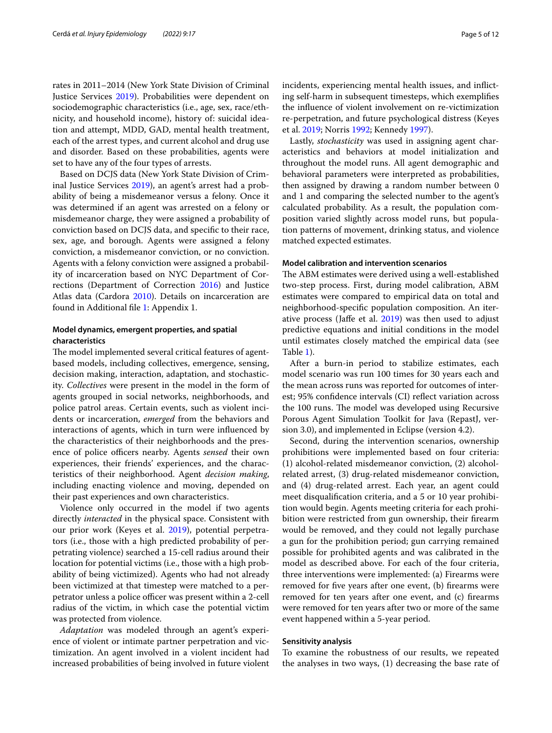rates in 2011–2014 (New York State Division of Criminal Justice Services [2019\)](#page-11-24). Probabilities were dependent on sociodemographic characteristics (i.e., age, sex, race/ethnicity, and household income), history of: suicidal ideation and attempt, MDD, GAD, mental health treatment, each of the arrest types, and current alcohol and drug use and disorder. Based on these probabilities, agents were set to have any of the four types of arrests.

Based on DCJS data (New York State Division of Criminal Justice Services [2019\)](#page-11-24), an agent's arrest had a probability of being a misdemeanor versus a felony. Once it was determined if an agent was arrested on a felony or misdemeanor charge, they were assigned a probability of conviction based on DCJS data, and specifc to their race, sex, age, and borough. Agents were assigned a felony conviction, a misdemeanor conviction, or no conviction. Agents with a felony conviction were assigned a probability of incarceration based on NYC Department of Corrections (Department of Correction [2016](#page-10-19)) and Justice Atlas data (Cardora [2010](#page-10-20)). Details on incarceration are found in Additional fle [1:](#page-9-0) Appendix 1.

## **Model dynamics, emergent properties, and spatial characteristics**

The model implemented several critical features of agentbased models, including collectives, emergence, sensing, decision making, interaction, adaptation, and stochasticity. *Collectives* were present in the model in the form of agents grouped in social networks, neighborhoods, and police patrol areas. Certain events, such as violent incidents or incarceration, *emerged* from the behaviors and interactions of agents, which in turn were infuenced by the characteristics of their neighborhoods and the presence of police officers nearby. Agents *sensed* their own experiences, their friends' experiences, and the characteristics of their neighborhood. Agent *decision making*, including enacting violence and moving, depended on their past experiences and own characteristics.

Violence only occurred in the model if two agents directly *interacted* in the physical space. Consistent with our prior work (Keyes et al. [2019](#page-11-6)), potential perpetrators (i.e., those with a high predicted probability of perpetrating violence) searched a 15-cell radius around their location for potential victims (i.e., those with a high probability of being victimized). Agents who had not already been victimized at that timestep were matched to a perpetrator unless a police officer was present within a 2-cell radius of the victim, in which case the potential victim was protected from violence.

*Adaptation* was modeled through an agent's experience of violent or intimate partner perpetration and victimization. An agent involved in a violent incident had increased probabilities of being involved in future violent incidents, experiencing mental health issues, and inficting self-harm in subsequent timesteps, which exemplifes the infuence of violent involvement on re-victimization re-perpetration, and future psychological distress (Keyes et al. [2019](#page-11-25); Norris [1992](#page-11-26); Kennedy [1997](#page-11-27)).

Lastly, *stochasticity* was used in assigning agent characteristics and behaviors at model initialization and throughout the model runs. All agent demographic and behavioral parameters were interpreted as probabilities, then assigned by drawing a random number between 0 and 1 and comparing the selected number to the agent's calculated probability. As a result, the population composition varied slightly across model runs, but population patterns of movement, drinking status, and violence matched expected estimates.

#### **Model calibration and intervention scenarios**

The ABM estimates were derived using a well-established two-step process. First, during model calibration, ABM estimates were compared to empirical data on total and neighborhood-specifc population composition. An iterative process (Jafe et al. [2019](#page-11-28)) was then used to adjust predictive equations and initial conditions in the model until estimates closely matched the empirical data (see Table [1](#page-5-0)).

After a burn-in period to stabilize estimates, each model scenario was run 100 times for 30 years each and the mean across runs was reported for outcomes of interest; 95% confidence intervals (CI) reflect variation across the 100 runs. The model was developed using Recursive Porous Agent Simulation Toolkit for Java (RepastJ, version 3.0), and implemented in Eclipse (version 4.2).

Second, during the intervention scenarios, ownership prohibitions were implemented based on four criteria: (1) alcohol-related misdemeanor conviction, (2) alcoholrelated arrest, (3) drug-related misdemeanor conviction, and (4) drug-related arrest. Each year, an agent could meet disqualifcation criteria, and a 5 or 10 year prohibition would begin. Agents meeting criteria for each prohibition were restricted from gun ownership, their frearm would be removed, and they could not legally purchase a gun for the prohibition period; gun carrying remained possible for prohibited agents and was calibrated in the model as described above. For each of the four criteria, three interventions were implemented: (a) Firearms were removed for fve years after one event, (b) frearms were removed for ten years after one event, and (c) frearms were removed for ten years after two or more of the same event happened within a 5-year period.

#### **Sensitivity analysis**

To examine the robustness of our results, we repeated the analyses in two ways, (1) decreasing the base rate of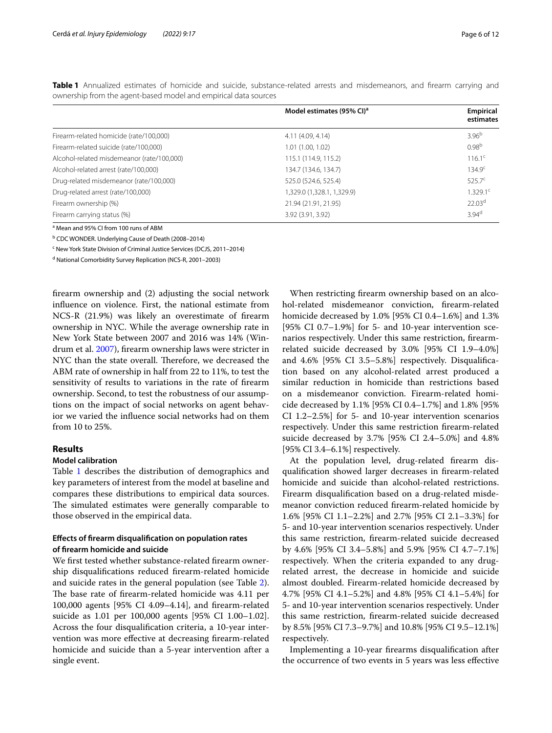|                                            | Model estimates (95% CI) <sup>a</sup> | Empirical           |
|--------------------------------------------|---------------------------------------|---------------------|
|                                            |                                       | estimates           |
| Firearm-related homicide (rate/100,000)    | 4.11 (4.09, 4.14)                     | $3.96^{b}$          |
| Firearm-related suicide (rate/100,000)     | 1.01(1.00, 1.02)                      | 0.98 <sup>b</sup>   |
| Alcohol-related misdemeanor (rate/100,000) | 115.1 (114.9, 115.2)                  | $116.1^{\circ}$     |
| Alcohol-related arrest (rate/100,000)      | 134.7 (134.6, 134.7)                  | 134.9 <sup>c</sup>  |
| Drug-related misdemeanor (rate/100,000)    | 525.0 (524.6, 525.4)                  | $525.7^{\circ}$     |
| Drug-related arrest (rate/100,000)         | 1,329.0 (1,328.1, 1,329.9)            | $1.329.1^{\circ}$   |
| Firearm ownership (%)                      | 21.94 (21.91, 21.95)                  | 22.03 <sup>d</sup>  |
| Firearm carrying status (%)                | 3.92 (3.91, 3.92)                     | $3.94$ <sup>d</sup> |

<span id="page-5-0"></span>**Table 1** Annualized estimates of homicide and suicide, substance-related arrests and misdemeanors, and frearm carrying and ownership from the agent-based model and empirical data sources

<sup>a</sup> Mean and 95% CI from 100 runs of ABM

<sup>b</sup> CDC WONDER. Underlying Cause of Death (2008–2014)

<sup>c</sup> New York State Division of Criminal Justice Services (DCJS, 2011-2014)

<sup>d</sup> National Comorbidity Survey Replication (NCS-R, 2001-2003)

frearm ownership and (2) adjusting the social network infuence on violence. First, the national estimate from NCS-R (21.9%) was likely an overestimate of frearm ownership in NYC. While the average ownership rate in New York State between 2007 and 2016 was 14% (Windrum et al. [2007](#page-11-29)), frearm ownership laws were stricter in NYC than the state overall. Therefore, we decreased the ABM rate of ownership in half from 22 to 11%, to test the sensitivity of results to variations in the rate of frearm ownership. Second, to test the robustness of our assumptions on the impact of social networks on agent behavior we varied the infuence social networks had on them from 10 to 25%.

## **Results**

#### **Model calibration**

Table [1](#page-5-0) describes the distribution of demographics and key parameters of interest from the model at baseline and compares these distributions to empirical data sources. The simulated estimates were generally comparable to those observed in the empirical data.

## **Efects of frearm disqualifcation on population rates of frearm homicide and suicide**

We frst tested whether substance-related frearm ownership disqualifcations reduced frearm-related homicide and suicide rates in the general population (see Table [2](#page-6-0)). The base rate of firearm-related homicide was 4.11 per 100,000 agents [95% CI 4.09–4.14], and frearm-related suicide as 1.01 per 100,000 agents [95% CI 1.00–1.02]. Across the four disqualifcation criteria, a 10-year intervention was more effective at decreasing firearm-related homicide and suicide than a 5-year intervention after a single event.

When restricting frearm ownership based on an alcohol-related misdemeanor conviction, frearm-related homicide decreased by 1.0% [95% CI 0.4–1.6%] and 1.3% [95% CI 0.7–1.9%] for 5- and 10-year intervention scenarios respectively. Under this same restriction, frearmrelated suicide decreased by 3.0% [95% CI 1.9–4.0%] and 4.6% [95% CI 3.5–5.8%] respectively. Disqualifcation based on any alcohol-related arrest produced a similar reduction in homicide than restrictions based on a misdemeanor conviction. Firearm-related homicide decreased by 1.1% [95% CI 0.4–1.7%] and 1.8% [95% CI 1.2–2.5%] for 5- and 10-year intervention scenarios respectively. Under this same restriction frearm-related suicide decreased by 3.7% [95% CI 2.4–5.0%] and 4.8% [95% CI 3.4–6.1%] respectively.

At the population level, drug-related frearm disqualifcation showed larger decreases in frearm-related homicide and suicide than alcohol-related restrictions. Firearm disqualifcation based on a drug-related misdemeanor conviction reduced frearm-related homicide by 1.6% [95% CI 1.1–2.2%] and 2.7% [95% CI 2.1–3.3%] for 5- and 10-year intervention scenarios respectively. Under this same restriction, frearm-related suicide decreased by 4.6% [95% CI 3.4–5.8%] and 5.9% [95% CI 4.7–7.1%] respectively. When the criteria expanded to any drugrelated arrest, the decrease in homicide and suicide almost doubled. Firearm-related homicide decreased by 4.7% [95% CI 4.1–5.2%] and 4.8% [95% CI 4.1–5.4%] for 5- and 10-year intervention scenarios respectively. Under this same restriction, frearm-related suicide decreased by 8.5% [95% CI 7.3–9.7%] and 10.8% [95% CI 9.5–12.1%] respectively.

Implementing a 10-year frearms disqualifcation after the occurrence of two events in 5 years was less efective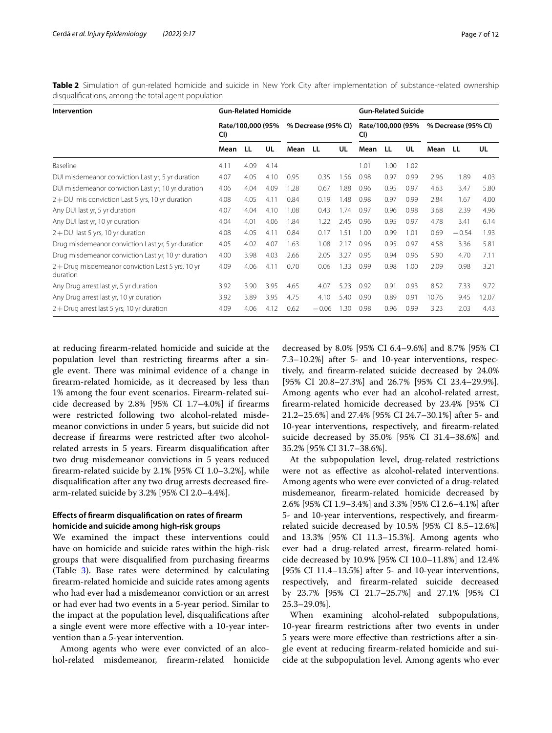<span id="page-6-0"></span>**Table 2** Simulation of gun-related homicide and suicide in New York City after implementation of substance-related ownership disqualifcations, among the total agent population

| Intervention                                                | <b>Gun-Related Homicide</b> |      |      |                     |         |      |                          | <b>Gun-Related Suicide</b> |      |                     |         |       |  |
|-------------------------------------------------------------|-----------------------------|------|------|---------------------|---------|------|--------------------------|----------------------------|------|---------------------|---------|-------|--|
|                                                             | Rate/100,000 (95%<br>CI)    |      |      | % Decrease (95% CI) |         |      | Rate/100,000 (95%<br>CI) |                            |      | % Decrease (95% CI) |         |       |  |
|                                                             | Mean                        | -LL  | UL   | Mean LL             |         | UL   | Mean                     | LL                         | UL   | Mean LL             |         | UL    |  |
| Baseline                                                    | 4.11                        | 4.09 | 4.14 |                     |         |      | 1.01                     | 1.00                       | 1.02 |                     |         |       |  |
| DUI misdemeanor conviction Last yr, 5 yr duration           | 4.07                        | 4.05 | 4.10 | 0.95                | 0.35    | 1.56 | 0.98                     | 0.97                       | 0.99 | 2.96                | 1.89    | 4.03  |  |
| DUI misdemeanor conviction Last yr, 10 yr duration          | 4.06                        | 4.04 | 4.09 | 1.28                | 0.67    | 1.88 | 0.96                     | 0.95                       | 0.97 | 4.63                | 3.47    | 5.80  |  |
| $2 + DUI$ mis conviction Last 5 yrs, 10 yr duration         | 4.08                        | 4.05 | 4.11 | 0.84                | 0.19    | 1.48 | 0.98                     | 0.97                       | 0.99 | 2.84                | 1.67    | 4.00  |  |
| Any DUI last yr, 5 yr duration                              | 4.07                        | 4.04 | 4.10 | 1.08                | 0.43    | 1.74 | 0.97                     | 0.96                       | 0.98 | 3.68                | 2.39    | 4.96  |  |
| Any DUI last yr, 10 yr duration                             | 4.04                        | 4.01 | 4.06 | 1.84                | 1.22    | 2.45 | 0.96                     | 0.95                       | 0.97 | 4.78                | 3.41    | 6.14  |  |
| $2 + DUI$ last 5 yrs, 10 yr duration                        | 4.08                        | 4.05 | 4.11 | 0.84                | 0.17    | 1.51 | 1.00                     | 0.99                       | 1.01 | 0.69                | $-0.54$ | 1.93  |  |
| Drug misdemeanor conviction Last yr, 5 yr duration          | 4.05                        | 4.02 | 4.07 | 1.63                | 1.08    | 2.17 | 0.96                     | 0.95                       | 0.97 | 4.58                | 3.36    | 5.81  |  |
| Drug misdemeanor conviction Last yr, 10 yr duration         | 4.00                        | 3.98 | 4.03 | 2.66                | 2.05    | 3.27 | 0.95                     | 0.94                       | 0.96 | 5.90                | 4.70    | 7.11  |  |
| 2+Drug misdemeanor conviction Last 5 yrs, 10 yr<br>duration | 4.09                        | 4.06 | 4.11 | 0.70                | 0.06    | 1.33 | 0.99                     | 0.98                       | 1.00 | 2.09                | 0.98    | 3.21  |  |
| Any Drug arrest last yr, 5 yr duration                      | 3.92                        | 3.90 | 3.95 | 4.65                | 4.07    | 5.23 | 0.92                     | 0.91                       | 0.93 | 8.52                | 7.33    | 9.72  |  |
| Any Drug arrest last yr, 10 yr duration                     | 3.92                        | 3.89 | 3.95 | 4.75                | 4.10    | 5.40 | 0.90                     | 0.89                       | 0.91 | 10.76               | 9.45    | 12.07 |  |
| $2 +$ Drug arrest last 5 yrs, 10 yr duration                | 4.09                        | 4.06 | 4.12 | 0.62                | $-0.06$ | 1.30 | 0.98                     | 0.96                       | 0.99 | 3.23                | 2.03    | 4.43  |  |

at reducing frearm-related homicide and suicide at the population level than restricting frearms after a single event. There was minimal evidence of a change in frearm-related homicide, as it decreased by less than 1% among the four event scenarios. Firearm-related suicide decreased by 2.8% [95% CI 1.7–4.0%] if frearms were restricted following two alcohol-related misdemeanor convictions in under 5 years, but suicide did not decrease if frearms were restricted after two alcoholrelated arrests in 5 years. Firearm disqualifcation after two drug misdemeanor convictions in 5 years reduced frearm-related suicide by 2.1% [95% CI 1.0–3.2%], while disqualifcation after any two drug arrests decreased frearm-related suicide by 3.2% [95% CI 2.0–4.4%].

## **Efects of frearm disqualifcation on rates of frearm homicide and suicide among high‑risk groups**

We examined the impact these interventions could have on homicide and suicide rates within the high-risk groups that were disqualifed from purchasing frearms (Table [3\)](#page-7-0). Base rates were determined by calculating frearm-related homicide and suicide rates among agents who had ever had a misdemeanor conviction or an arrest or had ever had two events in a 5-year period. Similar to the impact at the population level, disqualifcations after a single event were more efective with a 10-year intervention than a 5-year intervention.

Among agents who were ever convicted of an alcohol-related misdemeanor, frearm-related homicide

decreased by 8.0% [95% CI 6.4–9.6%] and 8.7% [95% CI 7.3–10.2%] after 5- and 10-year interventions, respectively, and frearm-related suicide decreased by 24.0% [95% CI 20.8–27.3%] and 26.7% [95% CI 23.4–29.9%]. Among agents who ever had an alcohol-related arrest, frearm-related homicide decreased by 23.4% [95% CI 21.2–25.6%] and 27.4% [95% CI 24.7–30.1%] after 5- and 10-year interventions, respectively, and frearm-related suicide decreased by 35.0% [95% CI 31.4–38.6%] and 35.2% [95% CI 31.7–38.6%].

At the subpopulation level, drug-related restrictions were not as efective as alcohol-related interventions. Among agents who were ever convicted of a drug-related misdemeanor, frearm-related homicide decreased by 2.6% [95% CI 1.9–3.4%] and 3.3% [95% CI 2.6–4.1%] after 5- and 10-year interventions, respectively, and frearmrelated suicide decreased by 10.5% [95% CI 8.5–12.6%] and 13.3% [95% CI 11.3–15.3%]. Among agents who ever had a drug-related arrest, frearm-related homicide decreased by 10.9% [95% CI 10.0–11.8%] and 12.4% [95% CI 11.4–13.5%] after 5- and 10-year interventions, respectively, and frearm-related suicide decreased by 23.7% [95% CI 21.7–25.7%] and 27.1% [95% CI 25.3–29.0%].

When examining alcohol-related subpopulations, 10-year frearm restrictions after two events in under 5 years were more efective than restrictions after a single event at reducing frearm-related homicide and suicide at the subpopulation level. Among agents who ever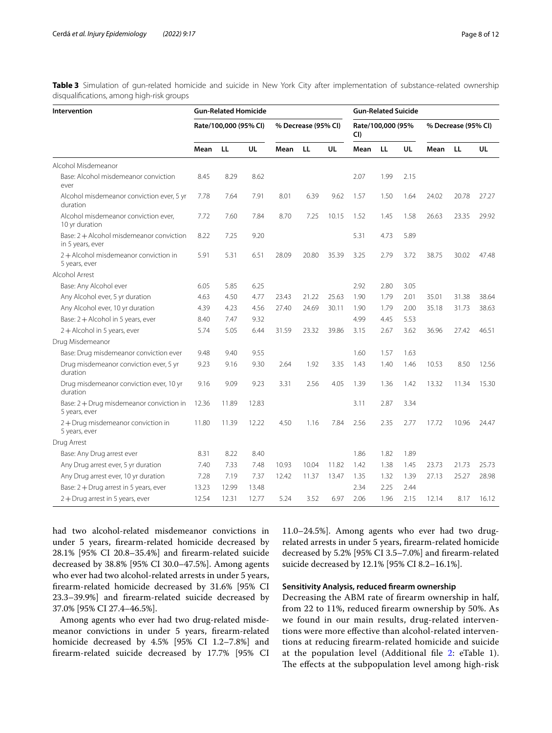<span id="page-7-0"></span>**Table 3** Simulation of gun-related homicide and suicide in New York City after implementation of substance-related ownership disqualifcations, among high-risk groups

| Intervention                                                 | <b>Gun-Related Homicide</b> |       |           |                     |       |       |                          | <b>Gun-Related Suicide</b> |      |                     |       |       |  |
|--------------------------------------------------------------|-----------------------------|-------|-----------|---------------------|-------|-------|--------------------------|----------------------------|------|---------------------|-------|-------|--|
|                                                              | Rate/100,000 (95% CI)       |       |           | % Decrease (95% CI) |       |       | Rate/100,000 (95%<br>CI) |                            |      | % Decrease (95% CI) |       |       |  |
|                                                              | Mean                        | LL    | <b>UL</b> | Mean                | LL    | UL    | Mean                     | LL                         | UL   | Mean                | LL    | UL    |  |
| Alcohol Misdemeanor                                          |                             |       |           |                     |       |       |                          |                            |      |                     |       |       |  |
| Base: Alcohol misdemeanor conviction<br>ever                 | 8.45                        | 8.29  | 8.62      |                     |       |       | 2.07                     | 1.99                       | 2.15 |                     |       |       |  |
| Alcohol misdemeanor conviction ever, 5 yr<br>duration        | 7.78                        | 7.64  | 7.91      | 8.01                | 6.39  | 9.62  | 1.57                     | 1.50                       | 1.64 | 24.02               | 20.78 | 27.27 |  |
| Alcohol misdemeanor conviction ever,<br>10 yr duration       | 7.72                        | 7.60  | 7.84      | 8.70                | 7.25  | 10.15 | 1.52                     | 1.45                       | 1.58 | 26.63               | 23.35 | 29.92 |  |
| Base: 2 + Alcohol misdemeanor conviction<br>in 5 years, ever | 8.22                        | 7.25  | 9.20      |                     |       |       | 5.31                     | 4.73                       | 5.89 |                     |       |       |  |
| 2+Alcohol misdemeanor conviction in<br>5 years, ever         | 5.91                        | 5.31  | 6.51      | 28.09               | 20.80 | 35.39 | 3.25                     | 2.79                       | 3.72 | 38.75               | 30.02 | 47.48 |  |
| Alcohol Arrest                                               |                             |       |           |                     |       |       |                          |                            |      |                     |       |       |  |
| Base: Any Alcohol ever                                       | 6.05                        | 5.85  | 6.25      |                     |       |       | 2.92                     | 2.80                       | 3.05 |                     |       |       |  |
| Any Alcohol ever, 5 yr duration                              | 4.63                        | 4.50  | 4.77      | 23.43               | 21.22 | 25.63 | 1.90                     | 1.79                       | 2.01 | 35.01               | 31.38 | 38.64 |  |
| Any Alcohol ever, 10 yr duration                             | 4.39                        | 4.23  | 4.56      | 27.40               | 24.69 | 30.11 | 1.90                     | 1.79                       | 2.00 | 35.18               | 31.73 | 38.63 |  |
| Base: $2 +$ Alcohol in 5 years, ever                         | 8.40                        | 7.47  | 9.32      |                     |       |       | 4.99                     | 4.45                       | 5.53 |                     |       |       |  |
| 2+Alcohol in 5 years, ever                                   | 5.74                        | 5.05  | 6.44      | 31.59               | 23.32 | 39.86 | 3.15                     | 2.67                       | 3.62 | 36.96               | 27.42 | 46.51 |  |
| Drug Misdemeanor                                             |                             |       |           |                     |       |       |                          |                            |      |                     |       |       |  |
| Base: Drug misdemeanor conviction ever                       | 9.48                        | 9.40  | 9.55      |                     |       |       | 1.60                     | 1.57                       | 1.63 |                     |       |       |  |
| Drug misdemeanor conviction ever, 5 yr<br>duration           | 9.23                        | 9.16  | 9.30      | 2.64                | 1.92  | 3.35  | 1.43                     | 1.40                       | 1.46 | 10.53               | 8.50  | 12.56 |  |
| Drug misdemeanor conviction ever, 10 yr<br>duration          | 9.16                        | 9.09  | 9.23      | 3.31                | 2.56  | 4.05  | 1.39                     | 1.36                       | 1.42 | 13.32               | 11.34 | 15.30 |  |
| Base: 2 + Drug misdemeanor conviction in<br>5 years, ever    | 12.36                       | 11.89 | 12.83     |                     |       |       | 3.11                     | 2.87                       | 3.34 |                     |       |       |  |
| 2+Drug misdemeanor conviction in<br>5 years, ever            | 11.80                       | 11.39 | 12.22     | 4.50                | 1.16  | 7.84  | 2.56                     | 2.35                       | 2.77 | 17.72               | 10.96 | 24.47 |  |
| Drug Arrest                                                  |                             |       |           |                     |       |       |                          |                            |      |                     |       |       |  |
| Base: Any Drug arrest ever                                   | 8.31                        | 8.22  | 8.40      |                     |       |       | 1.86                     | 1.82                       | 1.89 |                     |       |       |  |
| Any Drug arrest ever, 5 yr duration                          | 7.40                        | 7.33  | 7.48      | 10.93               | 10.04 | 11.82 | 1.42                     | 1.38                       | 1.45 | 23.73               | 21.73 | 25.73 |  |
| Any Drug arrest ever, 10 yr duration                         | 7.28                        | 7.19  | 7.37      | 12.42               | 11.37 | 13.47 | 1.35                     | 1.32                       | 1.39 | 27.13               | 25.27 | 28.98 |  |
| Base: 2 + Drug arrest in 5 years, ever                       | 13.23                       | 12.99 | 13.48     |                     |       |       | 2.34                     | 2.25                       | 2.44 |                     |       |       |  |
| $2 +$ Drug arrest in 5 years, ever                           | 12.54                       | 12.31 | 12.77     | 5.24                | 3.52  | 6.97  | 2.06                     | 1.96                       | 2.15 | 12.14               | 8.17  | 16.12 |  |

had two alcohol-related misdemeanor convictions in under 5 years, frearm-related homicide decreased by 28.1% [95% CI 20.8–35.4%] and frearm-related suicide decreased by 38.8% [95% CI 30.0–47.5%]. Among agents who ever had two alcohol-related arrests in under 5 years, frearm-related homicide decreased by 31.6% [95% CI 23.3–39.9%] and frearm-related suicide decreased by 37.0% [95% CI 27.4–46.5%].

Among agents who ever had two drug-related misdemeanor convictions in under 5 years, frearm-related homicide decreased by 4.5% [95% CI 1.2–7.8%] and frearm-related suicide decreased by 17.7% [95% CI

11.0–24.5%]. Among agents who ever had two drugrelated arrests in under 5 years, frearm-related homicide decreased by 5.2% [95% CI 3.5–7.0%] and frearm-related suicide decreased by 12.1% [95% CI 8.2–16.1%].

#### **Sensitivity Analysis, reduced frearm ownership**

Decreasing the ABM rate of frearm ownership in half, from 22 to 11%, reduced frearm ownership by 50%. As we found in our main results, drug-related interventions were more efective than alcohol-related interventions at reducing frearm-related homicide and suicide at the population level (Additional fle [2](#page-9-1): eTable 1). The effects at the subpopulation level among high-risk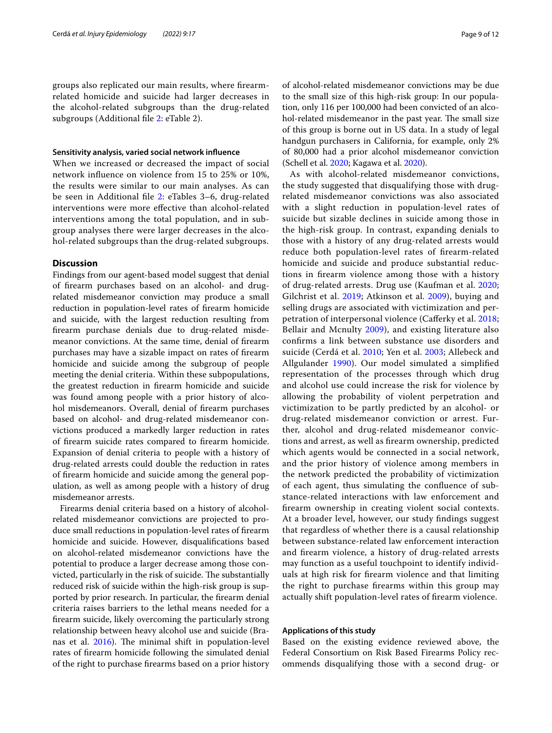groups also replicated our main results, where frearmrelated homicide and suicide had larger decreases in the alcohol-related subgroups than the drug-related subgroups (Additional fle [2:](#page-9-1) eTable 2).

#### **Sensitivity analysis, varied social network infuence**

When we increased or decreased the impact of social network infuence on violence from 15 to 25% or 10%, the results were similar to our main analyses. As can be seen in Additional fle [2](#page-9-1): eTables 3–6, drug-related interventions were more efective than alcohol-related interventions among the total population, and in subgroup analyses there were larger decreases in the alcohol-related subgroups than the drug-related subgroups.

## **Discussion**

Findings from our agent-based model suggest that denial of frearm purchases based on an alcohol- and drugrelated misdemeanor conviction may produce a small reduction in population-level rates of frearm homicide and suicide, with the largest reduction resulting from frearm purchase denials due to drug-related misdemeanor convictions. At the same time, denial of frearm purchases may have a sizable impact on rates of frearm homicide and suicide among the subgroup of people meeting the denial criteria. Within these subpopulations, the greatest reduction in frearm homicide and suicide was found among people with a prior history of alcohol misdemeanors. Overall, denial of frearm purchases based on alcohol- and drug-related misdemeanor convictions produced a markedly larger reduction in rates of frearm suicide rates compared to frearm homicide. Expansion of denial criteria to people with a history of drug-related arrests could double the reduction in rates of frearm homicide and suicide among the general population, as well as among people with a history of drug misdemeanor arrests.

Firearms denial criteria based on a history of alcoholrelated misdemeanor convictions are projected to produce small reductions in population-level rates of frearm homicide and suicide. However, disqualifcations based on alcohol-related misdemeanor convictions have the potential to produce a larger decrease among those convicted, particularly in the risk of suicide. The substantially reduced risk of suicide within the high-risk group is supported by prior research. In particular, the frearm denial criteria raises barriers to the lethal means needed for a frearm suicide, likely overcoming the particularly strong relationship between heavy alcohol use and suicide (Branas et al.  $2016$ ). The minimal shift in population-level rates of frearm homicide following the simulated denial of the right to purchase frearms based on a prior history of alcohol-related misdemeanor convictions may be due to the small size of this high-risk group: In our population, only 116 per 100,000 had been convicted of an alcohol-related misdemeanor in the past year. The small size of this group is borne out in US data. In a study of legal handgun purchasers in California, for example, only 2% of 80,000 had a prior alcohol misdemeanor conviction (Schell et al. [2020;](#page-11-30) Kagawa et al. [2020\)](#page-11-31).

As with alcohol-related misdemeanor convictions, the study suggested that disqualifying those with drugrelated misdemeanor convictions was also associated with a slight reduction in population-level rates of suicide but sizable declines in suicide among those in the high-risk group. In contrast, expanding denials to those with a history of any drug-related arrests would reduce both population-level rates of frearm-related homicide and suicide and produce substantial reductions in frearm violence among those with a history of drug-related arrests. Drug use (Kaufman et al. [2020](#page-11-32); Gilchrist et al. [2019;](#page-10-21) Atkinson et al. [2009](#page-10-22)), buying and selling drugs are associated with victimization and perpetration of interpersonal violence (Caferky et al. [2018](#page-10-23); Bellair and Mcnulty [2009](#page-10-24)), and existing literature also confrms a link between substance use disorders and suicide (Cerdá et al. [2010;](#page-10-25) Yen et al. [2003;](#page-11-33) Allebeck and Allgulander [1990](#page-10-26)). Our model simulated a simplifed representation of the processes through which drug and alcohol use could increase the risk for violence by allowing the probability of violent perpetration and victimization to be partly predicted by an alcohol- or drug-related misdemeanor conviction or arrest. Further, alcohol and drug-related misdemeanor convictions and arrest, as well as frearm ownership, predicted which agents would be connected in a social network, and the prior history of violence among members in the network predicted the probability of victimization of each agent, thus simulating the confuence of substance-related interactions with law enforcement and frearm ownership in creating violent social contexts. At a broader level, however, our study fndings suggest that regardless of whether there is a causal relationship between substance-related law enforcement interaction and frearm violence, a history of drug-related arrests may function as a useful touchpoint to identify individuals at high risk for frearm violence and that limiting the right to purchase frearms within this group may actually shift population-level rates of frearm violence.

## **Applications of this study**

Based on the existing evidence reviewed above, the Federal Consortium on Risk Based Firearms Policy recommends disqualifying those with a second drug- or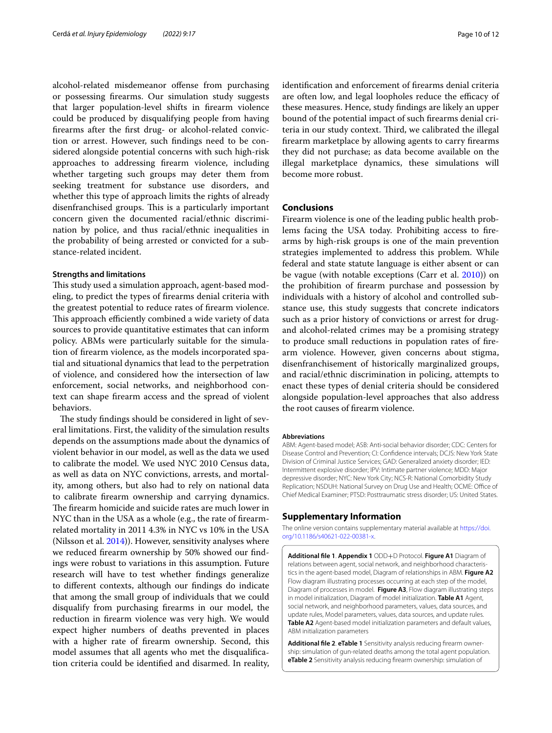alcohol-related misdemeanor ofense from purchasing or possessing frearms. Our simulation study suggests that larger population-level shifts in frearm violence could be produced by disqualifying people from having frearms after the frst drug- or alcohol-related conviction or arrest. However, such fndings need to be considered alongside potential concerns with such high-risk approaches to addressing frearm violence, including whether targeting such groups may deter them from seeking treatment for substance use disorders, and whether this type of approach limits the rights of already disenfranchised groups. This is a particularly important concern given the documented racial/ethnic discrimination by police, and thus racial/ethnic inequalities in the probability of being arrested or convicted for a substance-related incident.

### **Strengths and limitations**

This study used a simulation approach, agent-based modeling, to predict the types of frearms denial criteria with the greatest potential to reduce rates of frearm violence. This approach efficiently combined a wide variety of data sources to provide quantitative estimates that can inform policy. ABMs were particularly suitable for the simulation of frearm violence, as the models incorporated spatial and situational dynamics that lead to the perpetration of violence, and considered how the intersection of law enforcement, social networks, and neighborhood context can shape frearm access and the spread of violent behaviors.

The study findings should be considered in light of several limitations. First, the validity of the simulation results depends on the assumptions made about the dynamics of violent behavior in our model, as well as the data we used to calibrate the model. We used NYC 2010 Census data, as well as data on NYC convictions, arrests, and mortality, among others, but also had to rely on national data to calibrate frearm ownership and carrying dynamics. The firearm homicide and suicide rates are much lower in NYC than in the USA as a whole (e.g., the rate of frearmrelated mortality in 2011 4.3% in NYC vs 10% in the USA (Nilsson et al. [2014\)](#page-11-34)). However, sensitivity analyses where we reduced frearm ownership by 50% showed our fndings were robust to variations in this assumption. Future research will have to test whether fndings generalize to diferent contexts, although our fndings do indicate that among the small group of individuals that we could disqualify from purchasing frearms in our model, the reduction in frearm violence was very high. We would expect higher numbers of deaths prevented in places with a higher rate of frearm ownership. Second, this model assumes that all agents who met the disqualifcation criteria could be identifed and disarmed. In reality, identifcation and enforcement of frearms denial criteria are often low, and legal loopholes reduce the efficacy of these measures. Hence, study fndings are likely an upper bound of the potential impact of such frearms denial criteria in our study context. Third, we calibrated the illegal frearm marketplace by allowing agents to carry frearms they did not purchase; as data become available on the illegal marketplace dynamics, these simulations will become more robust.

#### **Conclusions**

Firearm violence is one of the leading public health problems facing the USA today. Prohibiting access to frearms by high-risk groups is one of the main prevention strategies implemented to address this problem. While federal and state statute language is either absent or can be vague (with notable exceptions (Carr et al. [2010](#page-10-5))) on the prohibition of frearm purchase and possession by individuals with a history of alcohol and controlled substance use, this study suggests that concrete indicators such as a prior history of convictions or arrest for drugand alcohol-related crimes may be a promising strategy to produce small reductions in population rates of frearm violence. However, given concerns about stigma, disenfranchisement of historically marginalized groups, and racial/ethnic discrimination in policing, attempts to enact these types of denial criteria should be considered alongside population-level approaches that also address the root causes of frearm violence.

#### **Abbreviations**

ABM: Agent-based model; ASB: Anti-social behavior disorder; CDC: Centers for Disease Control and Prevention; CI: Confdence intervals; DCJS: New York State Division of Criminal Justice Services; GAD: Generalized anxiety disorder; IED: Intermittent explosive disorder; IPV: Intimate partner violence; MDD: Major depressive disorder; NYC: New York City; NCS-R: National Comorbidity Study Replication; NSDUH: National Survey on Drug Use and Health; OCME: Office of Chief Medical Examiner; PTSD: Posttraumatic stress disorder; US: United States.

## **Supplementary Information**

The online version contains supplementary material available at [https://doi.](https://doi.org/10.1186/s40621-022-00381-x) [org/10.1186/s40621-022-00381-x.](https://doi.org/10.1186/s40621-022-00381-x)

<span id="page-9-0"></span>**Additional fle 1**. **Appendix 1** ODD+D Protocol. **Figure A1** Diagram of relations between agent, social network, and neighborhood characteristics in the agent-based model, Diagram of relationships in ABM. **Figure A2** Flow diagram illustrating processes occurring at each step of the model, Diagram of processes in model. **Figure A3**, Flow diagram illustrating steps in model initialization, Diagram of model initialization. **Table A1** Agent, social network, and neighborhood parameters, values, data sources, and update rules, Model parameters, values, data sources, and update rules. **Table A2** Agent-based model initialization parameters and default values, ABM initialization parameters

<span id="page-9-1"></span>**Additional fle 2**. **eTable 1** Sensitivity analysis reducing frearm ownership: simulation of gun-related deaths among the total agent population. **eTable 2** Sensitivity analysis reducing frearm ownership: simulation of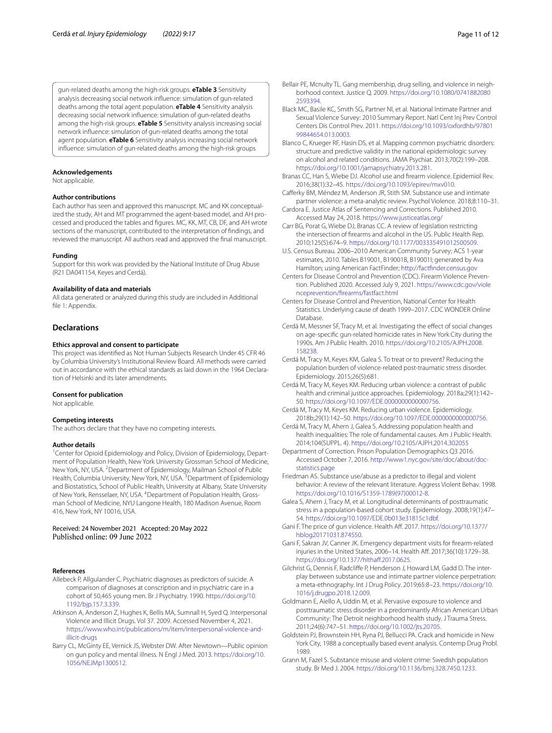gun-related deaths among the high-risk groups. **eTable 3** Sensitivity analysis decreasing social network infuence: simulation of gun-related deaths among the total agent population. **eTable 4** Sensitivity analysis decreasing social network infuence: simulation of gun-related deaths among the high-risk groups. **eTable 5** Sensitivity analysis increasing social network infuence: simulation of gun-related deaths among the total agent population. **eTable 6** Sensitivity analysis increasing social network infuence: simulation of gun-related deaths among the high-risk groups

#### **Acknowledgements**

Not applicable.

#### **Author contributions**

Each author has seen and approved this manuscript. MC and KK conceptualized the study, AH and MT programmed the agent-based model, and AH processed and produced the tables and fgures. MC, KK, MT, CB, DF, and AH wrote sections of the manuscript, contributed to the interpretation of fndings, and reviewed the manuscript. All authors read and approved the fnal manuscript.

#### **Funding**

Support for this work was provided by the National Institute of Drug Abuse (R21 DA041154, Keyes and Cerdá).

#### **Availability of data and materials**

All data generated or analyzed during this study are included in Additional file [1:](#page-9-0) Appendix.

## **Declarations**

#### **Ethics approval and consent to participate**

This project was identifed as Not Human Subjects Research Under 45 CFR 46 by Columbia University's Institutional Review Board. All methods were carried out in accordance with the ethical standards as laid down in the 1964 Declaration of Helsinki and its later amendments.

#### **Consent for publication**

Not applicable.

#### **Competing interests**

The authors declare that they have no competing interests.

#### **Author details**

<sup>1</sup> Center for Opioid Epidemiology and Policy, Division of Epidemiology, Department of Population Health, New York University Grossman School of Medicine, New York, NY, USA. <sup>2</sup> Department of Epidemiology, Mailman School of Public Health, Columbia University, New York, NY, USA. <sup>3</sup> Department of Epidemiology and Biostatistics, School of Public Health, University at Albany, State University of New York, Rensselaer, NY, USA. <sup>4</sup> Department of Population Health, Grossman School of Medicine, NYU Langone Health, 180 Madison Avenue, Room 416, New York, NY 10016, USA.

#### Received: 24 November 2021 Accepted: 20 May 2022 Published online: 09 June 2022

#### **References**

- <span id="page-10-26"></span>Allebeck P, Allgulander C. Psychiatric diagnoses as predictors of suicide. A comparison of diagnoses at conscription and in psychiatric care in a cohort of 50,465 young men. Br J Psychiatry. 1990. [https://doi.org/10.](https://doi.org/10.1192/bjp.157.3.339) [1192/bjp.157.3.339](https://doi.org/10.1192/bjp.157.3.339).
- <span id="page-10-22"></span>Atkinson A, Anderson Z, Hughes K, Bellis MA, Sumnall H, Syed Q. Interpersonal Violence and Illicit Drugs. Vol 37. 2009. Accessed November 4, 2021. [https://www.who.int/publications/m/item/interpersonal-violence-and](https://www.who.int/publications/m/item/interpersonal-violence-and-illicit-drugs)[illicit-drugs](https://www.who.int/publications/m/item/interpersonal-violence-and-illicit-drugs)
- <span id="page-10-3"></span>Barry CL, McGinty EE, Vernick JS, Webster DW. After Newtown—Public opinion on gun policy and mental illness. N Engl J Med. 2013. [https://doi.org/10.](https://doi.org/10.1056/NEJMp1300512) [1056/NEJMp1300512.](https://doi.org/10.1056/NEJMp1300512)
- <span id="page-10-24"></span>Bellair PE, Mcnulty TL. Gang membership, drug selling, and violence in neighborhood context. Justice Q. 2009. [https://doi.org/10.1080/0741882080](https://doi.org/10.1080/07418820802593394) [2593394](https://doi.org/10.1080/07418820802593394).
- <span id="page-10-16"></span>Black MC, Basile KC, Smith SG, Partner NI, et al. National Intimate Partner and Sexual Violence Survey: 2010 Summary Report. Natl Cent Inj Prev Control Centers Dis Control Prev. 2011. [https://doi.org/10.1093/oxfordhb/97801](https://doi.org/10.1093/oxfordhb/9780199844654.013.0003) [99844654.013.0003](https://doi.org/10.1093/oxfordhb/9780199844654.013.0003).
- <span id="page-10-15"></span>Blanco C, Krueger RF, Hasin DS, et al. Mapping common psychiatric disorders: structure and predictive validity in the national epidemiologic survey on alcohol and related conditions. JAMA Psychiat. 2013;70(2):199–208. [https://doi.org/10.1001/jamapsychiatry.2013.281.](https://doi.org/10.1001/jamapsychiatry.2013.281)
- <span id="page-10-4"></span>Branas CC, Han S, Wiebe DJ. Alcohol use and frearm violence. Epidemiol Rev. 2016;38(1):32–45.<https://doi.org/10.1093/epirev/mxv010>.
- <span id="page-10-23"></span>Caferky BM, Méndez M, Anderson JR, Stith SM. Substance use and intimate partner violence: a meta-analytic review. Psychol Violence. 2018;8:110–31.
- <span id="page-10-20"></span>Cardora E. Justice Atlas of Sentencing and Corrections. Published 2010. Accessed May 24, 2018.<https://www.justiceatlas.org/>
- <span id="page-10-5"></span>Carr BG, Porat G, Wiebe DJ, Branas CC. A review of legislation restricting the intersection of frearms and alcohol in the US. Public Health Rep. 2010;125(5):674–9. [https://doi.org/10.1177/003335491012500509.](https://doi.org/10.1177/003335491012500509)
- <span id="page-10-12"></span>U.S. Census Bureau. 2006–2010 American Community Survey; ACS 1-year estimates, 2010. Tables B19001, B19001B, B19001I; generated by Ava Hamilton; using American FactFinder; <http://factfinder.census.gov>
- <span id="page-10-0"></span>Centers for Disease Control and Prevention (CDC). Firearm Violence Prevention. Published 2020. Accessed July 9, 2021. [https://www.cdc.gov/viole](https://www.cdc.gov/violenceprevention/firearms/fastfact.html) [nceprevention/frearms/fastfact.html](https://www.cdc.gov/violenceprevention/firearms/fastfact.html)
- <span id="page-10-17"></span>Centers for Disease Control and Prevention, National Center for Health Statistics. Underlying cause of death 1999–2017. CDC WONDER Online Database.
- <span id="page-10-25"></span>Cerdá M, Messner SF, Tracy M, et al. Investigating the effect of social changes on age-specifc gun-related homicide rates in New York City during the 1990s. Am J Public Health. 2010. [https://doi.org/10.2105/AJPH.2008.](https://doi.org/10.2105/AJPH.2008.158238) [158238.](https://doi.org/10.2105/AJPH.2008.158238)
- <span id="page-10-10"></span>Cerdá M, Tracy M, Keyes KM, Galea S. To treat or to prevent? Reducing the population burden of violence-related post-traumatic stress disorder. Epidemiology. 2015;26(5):681.
- <span id="page-10-11"></span>Cerdá M, Tracy M, Keyes KM. Reducing urban violence: a contrast of public health and criminal justice approaches. Epidemiology. 2018a;29(1):142– 50. [https://doi.org/10.1097/EDE.0000000000000756.](https://doi.org/10.1097/EDE.0000000000000756)
- <span id="page-10-13"></span>Cerdá M, Tracy M, Keyes KM. Reducing urban violence. Epidemiology. 2018b;29(1):142–50. [https://doi.org/10.1097/EDE.0000000000000756.](https://doi.org/10.1097/EDE.0000000000000756)
- <span id="page-10-9"></span>Cerdá M, Tracy M, Ahern J, Galea S. Addressing population health and health inequalities: The role of fundamental causes. Am J Public Health. 2014;104(SUPPL. 4).<https://doi.org/10.2105/AJPH.2014.302055>
- <span id="page-10-19"></span>Department of Correction. Prison Population Demographics Q3 2016. Accessed October 7, 2016. [http://www1.nyc.gov/site/doc/about/doc](http://www1.nyc.gov/site/doc/about/doc-statistics.page)[statistics.page](http://www1.nyc.gov/site/doc/about/doc-statistics.page)
- <span id="page-10-6"></span>Friedman AS. Substance use/abuse as a predictor to illegal and violent behavior: A review of the relevant literature. Aggress Violent Behav. 1998. [https://doi.org/10.1016/S1359-1789\(97\)00012-8](https://doi.org/10.1016/S1359-1789(97)00012-8).
- <span id="page-10-18"></span>Galea S, Ahern J, Tracy M, et al. Longitudinal determinants of posttraumatic stress in a population-based cohort study. Epidemiology. 2008;19(1):47– 54. [https://doi.org/10.1097/EDE.0b013e31815c1dbf.](https://doi.org/10.1097/EDE.0b013e31815c1dbf)
- <span id="page-10-2"></span>Gani F. The price of gun violence. Health Af. 2017. [https://doi.org/10.1377/](https://doi.org/10.1377/hblog20171031.874550) [hblog20171031.874550](https://doi.org/10.1377/hblog20171031.874550).
- <span id="page-10-1"></span>Gani F, Sakran JV, Canner JK. Emergency department visits for frearm-related injuries in the United States, 2006–14. Health Af. 2017;36(10):1729–38. https://doi.org/10.1377/hlthaff.2017.0625.
- <span id="page-10-21"></span>Gilchrist G, Dennis F, Radclife P, Henderson J, Howard LM, Gadd D. The interplay between substance use and intimate partner violence perpetration: a meta-ethnography. Int J Drug Policy. 2019;65:8–23. [https://doi.org/10.](https://doi.org/10.1016/j.drugpo.2018.12.009) [1016/j.drugpo.2018.12.009.](https://doi.org/10.1016/j.drugpo.2018.12.009)
- <span id="page-10-14"></span>Goldmann E, Aiello A, Uddin M, et al. Pervasive exposure to violence and posttraumatic stress disorder in a predominantly African American Urban Community: The Detroit neighborhood health study. J Trauma Stress. 2011;24(6):747–51. <https://doi.org/10.1002/jts.20705>.
- <span id="page-10-7"></span>Goldstein PJ, Brownstein HH, Ryna PJ, Bellucci PA. Crack and homicide in New York City, 1988 a conceptually based event analysis. Contemp Drug Probl. 1989.
- <span id="page-10-8"></span>Grann M, Fazel S. Substance misuse and violent crime: Swedish population study. Br Med J. 2004. [https://doi.org/10.1136/bmj.328.7450.1233.](https://doi.org/10.1136/bmj.328.7450.1233)